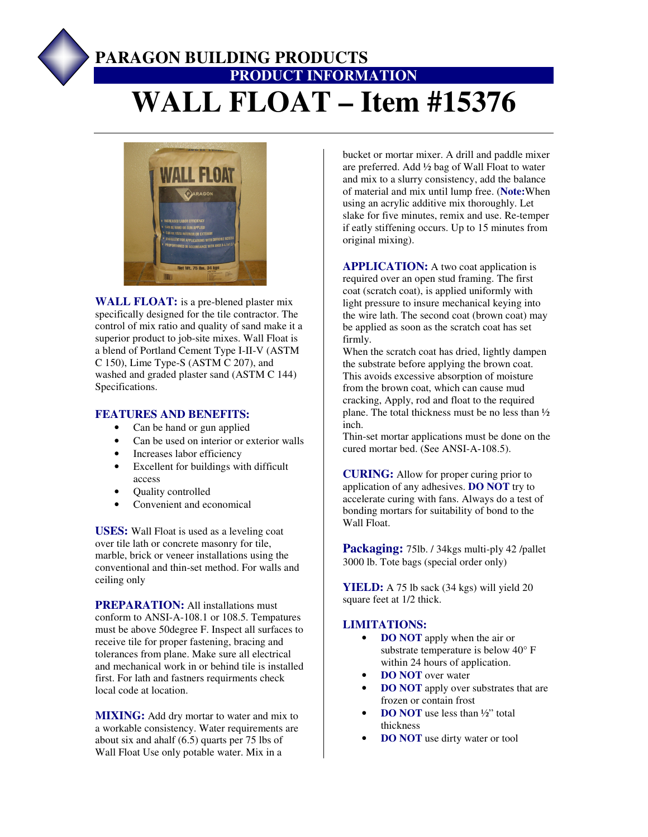



**WALL FLOAT:** is a pre-blened plaster mix specifically designed for the tile contractor. The control of mix ratio and quality of sand make it a superior product to job-site mixes. Wall Float is a blend of Portland Cement Type I-II-V (ASTM C 150), Lime Type-S (ASTM C 207), and washed and graded plaster sand (ASTM C 144) Specifications.

#### **FEATURES AND BENEFITS:**

- Can be hand or gun applied
- Can be used on interior or exterior walls
- Increases labor efficiency
- Excellent for buildings with difficult access
- Quality controlled
- Convenient and economical

**USES:** Wall Float is used as a leveling coat over tile lath or concrete masonry for tile, marble, brick or veneer installations using the conventional and thin-set method. For walls and ceiling only

**PREPARATION:** All installations must conform to ANSI-A-108.1 or 108.5. Tempatures must be above 50degree F. Inspect all surfaces to receive tile for proper fastening, bracing and tolerances from plane. Make sure all electrical and mechanical work in or behind tile is installed first. For lath and fastners requirments check local code at location.

**MIXING:** Add dry mortar to water and mix to a workable consistency. Water requirements are about six and ahalf (6.5) quarts per 75 lbs of Wall Float Use only potable water. Mix in a

bucket or mortar mixer. A drill and paddle mixer are preferred. Add ½ bag of Wall Float to water and mix to a slurry consistency, add the balance of material and mix until lump free. (**Note:**When using an acrylic additive mix thoroughly. Let slake for five minutes, remix and use. Re-temper if eatly stiffening occurs. Up to 15 minutes from original mixing).

**APPLICATION:** A two coat application is required over an open stud framing. The first coat (scratch coat), is applied uniformly with light pressure to insure mechanical keying into the wire lath. The second coat (brown coat) may be applied as soon as the scratch coat has set firmly.

When the scratch coat has dried, lightly dampen the substrate before applying the brown coat. This avoids excessive absorption of moisture from the brown coat, which can cause mud cracking, Apply, rod and float to the required plane. The total thickness must be no less than ½ inch.

Thin-set mortar applications must be done on the cured mortar bed. (See ANSI-A-108.5).

**CURING:** Allow for proper curing prior to application of any adhesives. **DO NOT** try to accelerate curing with fans. Always do a test of bonding mortars for suitability of bond to the Wall Float.

**Packaging:** 75lb. / 34kgs multi-ply 42 /pallet 3000 lb. Tote bags (special order only)

**YIELD:** A 75 lb sack (34 kgs) will yield 20 square feet at 1/2 thick.

## **LIMITATIONS:**

- **DO NOT** apply when the air or substrate temperature is below 40° F within 24 hours of application.
- **DO NOT** over water
- **DO NOT** apply over substrates that are frozen or contain frost
- **DO NOT** use less than 1/2" total thickness
- **DO NOT** use dirty water or tool